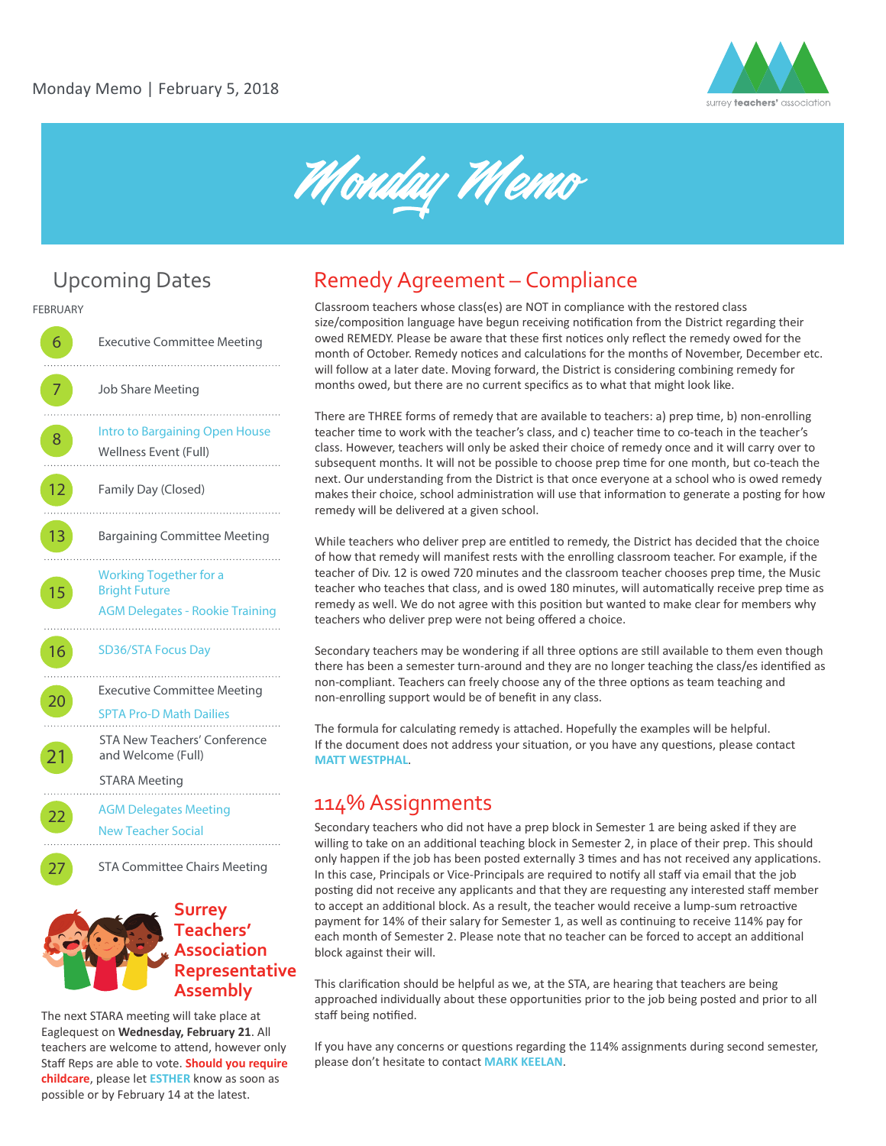



### Upcoming Dates

**FEBRUARY**

**6** Executive Committee Meeting Job Share Meeting . . . . . . . . . **8** [Intro to Bargaining Open House](https://introtobargaining.eventbrite.ca) Wellness Event (Full) 12 Family Day (Closed) 13 Bargaining Committee Meeting . . . . . . . . . [Working Together for a](https://www.eventbrite.ca/e/working-together-for-a-bright-future-tickets-41190603203)  15 Bright Future [AGM Delegates - Rookie Training](https://rookie-agm-2018.eventbrite.ca) . . . . . . . . . . 16 [SD36/STA Focus Day](https://surreyfocusday.ca/) . . . . . . . Executive Committee Meeting [SPTA Pro-D Math Dailies](http://spta36.weebly.com/math-dailies.html)  STA New Teachers' Conference 21 and Welcome (Full) STARA Meeting **22** AGM Delegates Meeting [New Teacher Social](https://goo.gl/forms/vaGEP1MDycS8nqw02) 27 STA Committee Chairs Meeting

#### **Surrey Teachers' Association Representative Assembly**

The next STARA meeting will take place at Eaglequest on **Wednesday, February 21**. All teachers are welcome to attend, however only Staff Reps are able to vote. **Should you require childcare**, please let **[ESTHER](mailto: esther@surreyteachers.org)** know as soon as possible or by February 14 at the latest.

#### Remedy Agreement – Compliance

Classroom teachers whose class(es) are NOT in compliance with the restored class size/composition language have begun receiving notification from the District regarding their owed REMEDY. Please be aware that these first notices only reflect the remedy owed for the month of October. Remedy notices and calculations for the months of November, December etc. will follow at a later date. Moving forward, the District is considering combining remedy for months owed, but there are no current specifics as to what that might look like.

There are THREE forms of remedy that are available to teachers: a) prep time, b) non-enrolling teacher �me to work with the teacher's class, and c) teacher �me to co-teach in the teacher's class. However, teachers will only be asked their choice of remedy once and it will carry over to subsequent months. It will not be possible to choose prep time for one month, but co-teach the next. Our understanding from the District is that once everyone at a school who is owed remedy makes their choice, school administration will use that information to generate a posting for how remedy will be delivered at a given school.

While teachers who deliver prep are entitled to remedy, the District has decided that the choice of how that remedy will manifest rests with the enrolling classroom teacher. For example, if the teacher of Div. 12 is owed 720 minutes and the classroom teacher chooses prep time, the Music teacher who teaches that class, and is owed 180 minutes, will automatically receive prep time as remedy as well. We do not agree with this position but wanted to make clear for members why teachers who deliver prep were not being offered a choice.

Secondary teachers may be wondering if all three options are still available to them even though there has been a semester turn-around and they are no longer teaching the class/es identified as non-compliant. Teachers can freely choose any of the three options as team teaching and non-enrolling support would be of benefit in any class.

The formula for calculating remedy is attached. Hopefully the examples will be helpful. If the document does not address your situation, or you have any questions, please contact **[MATT WESTPHAL](mailto: 1-vp@surreyteachers.org)**.

#### 114% Assignments

Secondary teachers who did not have a prep block in Semester 1 are being asked if they are willing to take on an additional teaching block in Semester 2, in place of their prep. This should only happen if the job has been posted externally 3 times and has not received any applications. In this case, Principals or Vice-Principals are required to notify all staff via email that the job posting did not receive any applicants and that they are requesting any interested staff member to accept an additional block. As a result, the teacher would receive a lump-sum retroactive payment for 14% of their salary for Semester 1, as well as continuing to receive 114% pay for each month of Semester 2. Please note that no teacher can be forced to accept an additional block against their will.

This clarification should be helpful as we, at the STA, are hearing that teachers are being approached individually about these opportunities prior to the job being posted and prior to all staff being notified.

If you have any concerns or questions regarding the 114% assignments during second semester, please don't hesitate to contact **[MARK KEELAN](mailto: grieve@surreyteachers.org)**.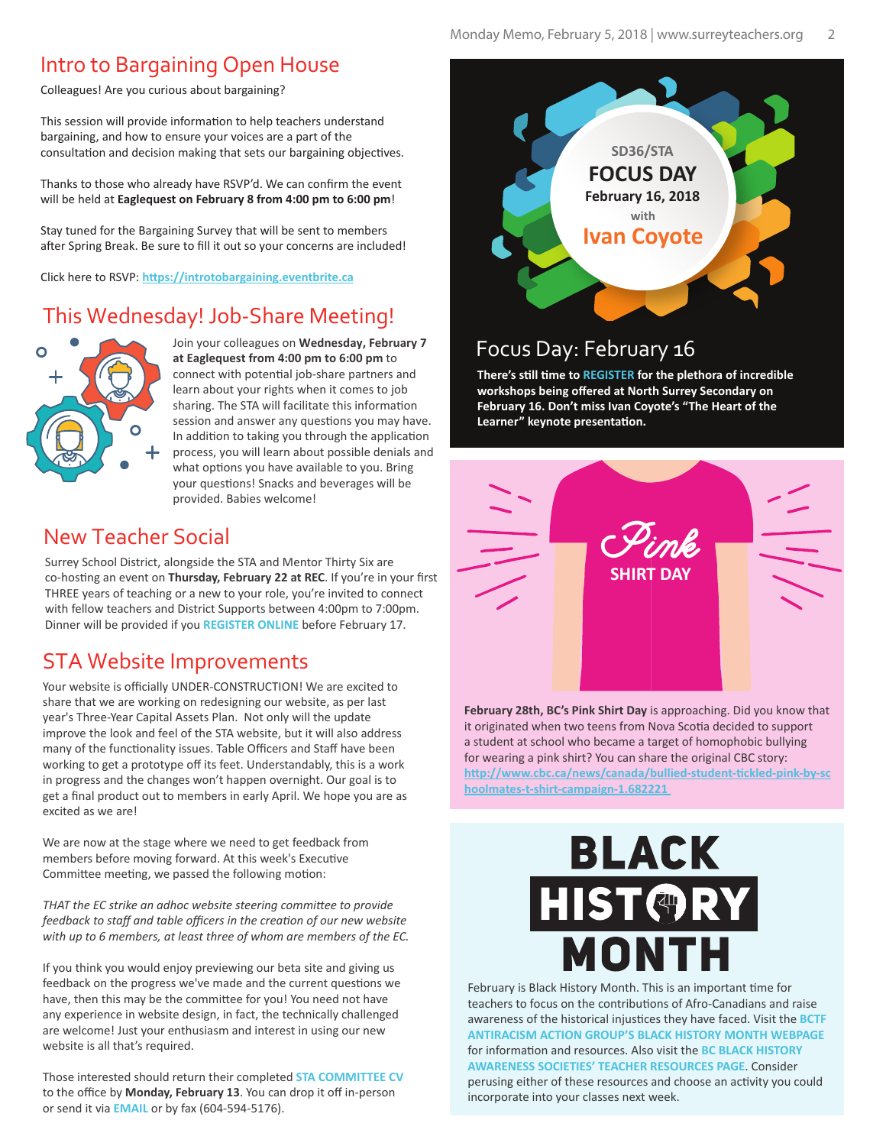#### Intro to Bargaining Open House

Colleagues! Are you curious about bargaining?

This session will provide information to help teachers understand bargaining, and how to ensure your voices are a part of the consultation and decision making that sets our bargaining objectives.

Thanks to those who already have RSVP'd. We can confirm the event will be held at **Eaglequest on February 8 from 4:00 pm to 6:00 pm**!

Stay tuned for the Bargaining Survey that will be sent to members after Spring Break. Be sure to fill it out so your concerns are included!

Click here to RSVP: https://introtobargaining.eventbrite.ca

#### This Wednesday! Job-Share Meeting!



Join your colleagues on **Wednesday, February 7 at Eaglequest from 4:00 pm to 6:00 pm** to connect with potential job-share partners and learn about your rights when it comes to job sharing. The STA will facilitate this information session and answer any questions you may have. In addition to taking you through the application process, you will learn about possible denials and what options you have available to you. Bring your questions! Snacks and beverages will be provided. Babies welcome!

#### New Teacher Social

Surrey School District, alongside the STA and Mentor Thirty Six are co-hosting an event on **Thursday, February 22 at REC**. If you're in your first THREE years of teaching or a new to your role, you're invited to connect with fellow teachers and District Supports between 4:00pm to 7:00pm. Dinner will be provided if you **[REGISTER ONLINE](https://goo.gl/forms/vaGEP1MDycS8nqw02)** before February 17.

#### STA Website Improvements

Your website is officially UNDER-CONSTRUCTION! We are excited to share that we are working on redesigning our website, as per last year's Three-Year Capital Assets Plan. Not only will the update improve the look and feel of the STA website, but it will also address many of the functionality issues. Table Officers and Staff have been working to get a prototype off its feet. Understandably, this is a work in progress and the changes won't happen overnight. Our goal is to get a final product out to members in early April. We hope you are as excited as we are!

We are now at the stage where we need to get feedback from members before moving forward. At this week's Executive Committee meeting, we passed the following motion:

*THAT the EC strike an adhoc website steering committee to provide feedback to staff and table officers in the creation of our new website with up to 6 members, at least three of whom are members of the EC.*

If you think you would enjoy previewing our beta site and giving us feedback on the progress we've made and the current questions we have, then this may be the committee for you! You need not have any experience in website design, in fact, the technically challenged are welcome! Just your enthusiasm and interest in using our new website is all that's required.

Those interested should return their completed **[STA COMMITTEE CV](http://www.surreyteachers.org/documents/Forms/STA_CMT_CV_Form.pdf)** to the office by **Monday, February 13**. You can drop it off in-person or send it via **[EMAIL](mailto: sta@surreyteachers.org)** or by fax (604-594-5176).



### Focus Day: February 16

**There's s�ll �me to [REGISTER](https://surreyfocusday.ca/) for the plethora of incredible workshops being offered at North Surrey Secondary on February 16. Don't miss Ivan Coyote's "The Heart of the**  Learner" keynote presentation.



**February 28th, BC's Pink Shirt Day** is approaching. Did you know that it originated when two teens from Nova Scotia decided to support a student at school who became a target of homophobic bullying for wearing a pink shirt? You can share the original CBC story: **[h�p://www.cbc.ca/news/canada/bullied-student-�ckled-pink-by-sc](http://www.cbc.ca/news/canada/bullied-student-tickled-pink-by-schoolmates-t-shirt-campaign-1.682221) hoolmates-t-shirt-campaign-1.682221** 

# **BLACK** HIST@RY MONTH

February is Black History Month. This is an important time for teachers to focus on the contributions of Afro-Canadians and raise awareness of the historical injustices they have faced. Visit the **BCTF [ANTIRACISM ACTION GROUP'S BLACK HISTORY MONTH WEBPAGE](http://www.bctf.ca/SocialJustice.aspx?id=17660)** for information and resources. Also visit the **BC BLACK HISTORY [AWARENESS SOCIETIES' TEACHER RESOURCES PAGE](http://bcblackhistory.ca/index.php/learning-centre/teacher-resources)**. Consider perusing either of these resources and choose an activity you could incorporate into your classes next week.